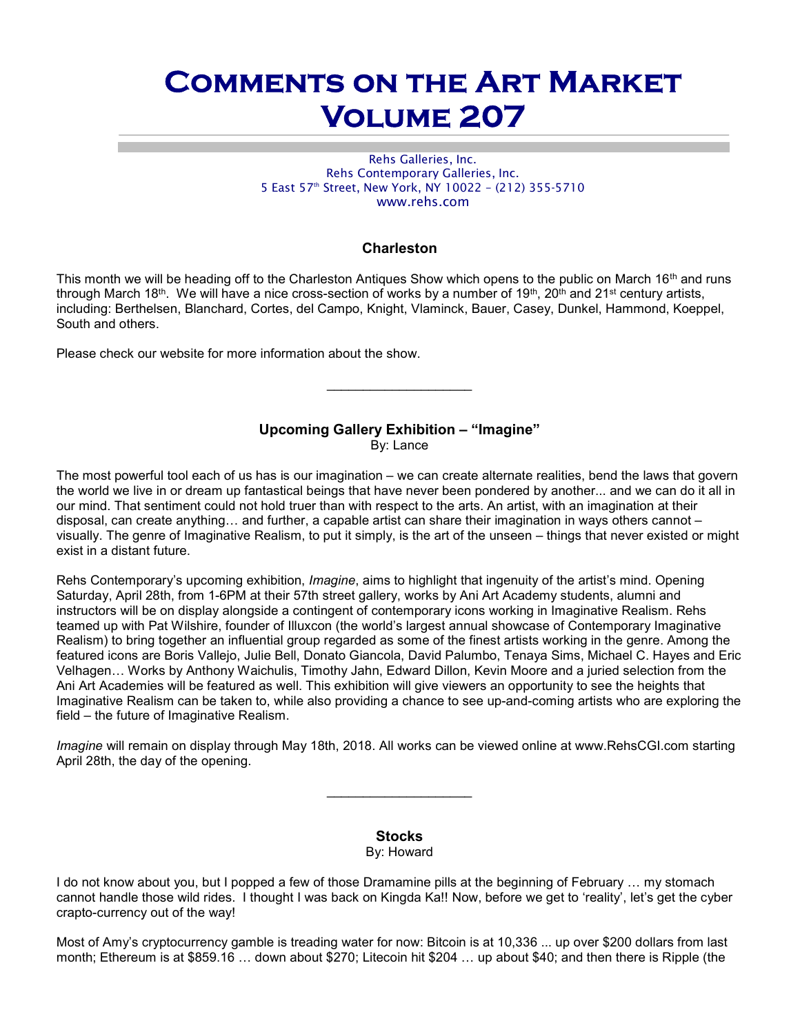# Comments on the Art Market Volume 207

Rehs Galleries, Inc. Rehs Contemporary Galleries, Inc. 5 East 57<sup>th</sup> Street, New York, NY 10022 - (212) 355-5710 www.rehs.com

# Charleston

This month we will be heading off to the Charleston Antiques Show which opens to the public on March 16<sup>th</sup> and runs through March 18<sup>th</sup>. We will have a nice cross-section of works by a number of 19<sup>th</sup>, 20<sup>th</sup> and 21<sup>st</sup> century artists, including: Berthelsen, Blanchard, Cortes, del Campo, Knight, Vlaminck, Bauer, Casey, Dunkel, Hammond, Koeppel, South and others.

Please check our website for more information about the show.

# Upcoming Gallery Exhibition – "Imagine"

By: Lance

The most powerful tool each of us has is our imagination – we can create alternate realities, bend the laws that govern the world we live in or dream up fantastical beings that have never been pondered by another... and we can do it all in our mind. That sentiment could not hold truer than with respect to the arts. An artist, with an imagination at their disposal, can create anything… and further, a capable artist can share their imagination in ways others cannot – visually. The genre of Imaginative Realism, to put it simply, is the art of the unseen – things that never existed or might exist in a distant future.

Rehs Contemporary's upcoming exhibition, Imagine, aims to highlight that ingenuity of the artist's mind. Opening Saturday, April 28th, from 1-6PM at their 57th street gallery, works by Ani Art Academy students, alumni and instructors will be on display alongside a contingent of contemporary icons working in Imaginative Realism. Rehs teamed up with Pat Wilshire, founder of Illuxcon (the world's largest annual showcase of Contemporary Imaginative Realism) to bring together an influential group regarded as some of the finest artists working in the genre. Among the featured icons are Boris Vallejo, Julie Bell, Donato Giancola, David Palumbo, Tenaya Sims, Michael C. Hayes and Eric Velhagen… Works by Anthony Waichulis, Timothy Jahn, Edward Dillon, Kevin Moore and a juried selection from the Ani Art Academies will be featured as well. This exhibition will give viewers an opportunity to see the heights that Imaginative Realism can be taken to, while also providing a chance to see up-and-coming artists who are exploring the field – the future of Imaginative Realism.

Imagine will remain on display through May 18th, 2018. All works can be viewed online at www.RehsCGI.com starting April 28th, the day of the opening.

 $\mathcal{L}_\text{max}$  , we are the set of the set of the set of the set of the set of the set of the set of the set of the set of the set of the set of the set of the set of the set of the set of the set of the set of the set of

#### Stocks By: Howard

I do not know about you, but I popped a few of those Dramamine pills at the beginning of February … my stomach cannot handle those wild rides. I thought I was back on Kingda Ka!! Now, before we get to 'reality', let's get the cyber crapto-currency out of the way!

Most of Amy's cryptocurrency gamble is treading water for now: Bitcoin is at 10,336 ... up over \$200 dollars from last month; Ethereum is at \$859.16 … down about \$270; Litecoin hit \$204 … up about \$40; and then there is Ripple (the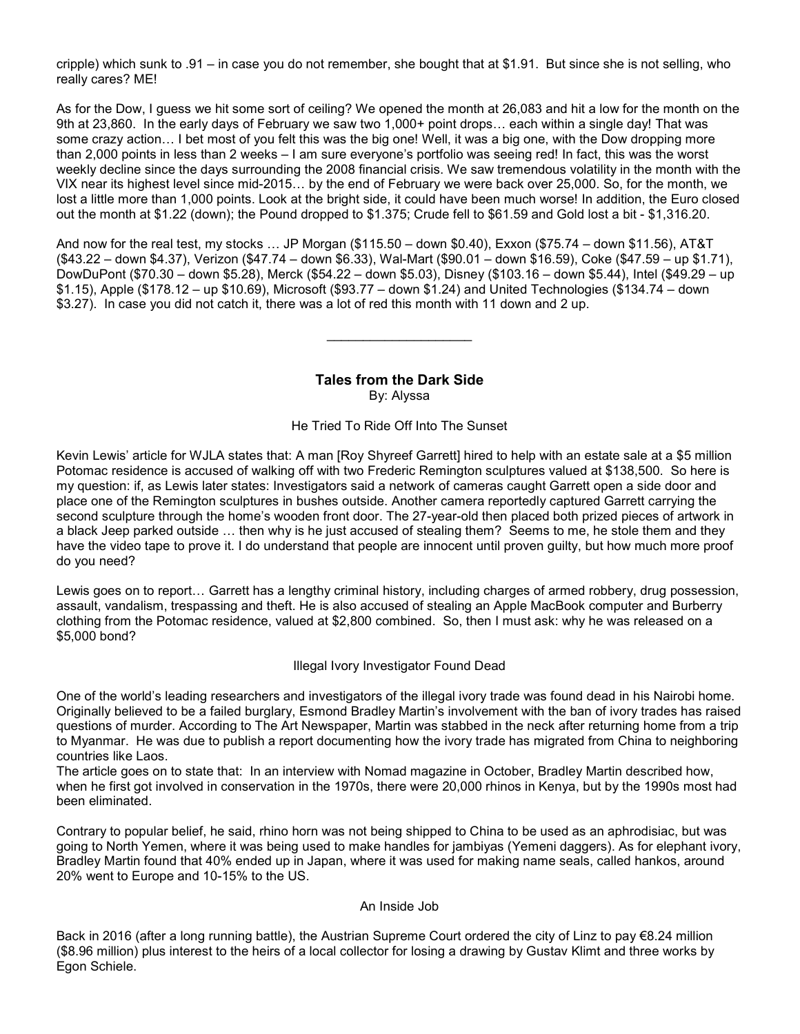cripple) which sunk to .91 – in case you do not remember, she bought that at \$1.91. But since she is not selling, who really cares? ME!

As for the Dow, I guess we hit some sort of ceiling? We opened the month at 26,083 and hit a low for the month on the 9th at 23,860. In the early days of February we saw two 1,000+ point drops… each within a single day! That was some crazy action... I bet most of you felt this was the big one! Well, it was a big one, with the Dow dropping more than 2,000 points in less than 2 weeks – I am sure everyone's portfolio was seeing red! In fact, this was the worst weekly decline since the days surrounding the 2008 financial crisis. We saw tremendous volatility in the month with the VIX near its highest level since mid-2015… by the end of February we were back over 25,000. So, for the month, we lost a little more than 1,000 points. Look at the bright side, it could have been much worse! In addition, the Euro closed out the month at \$1.22 (down); the Pound dropped to \$1.375; Crude fell to \$61.59 and Gold lost a bit - \$1,316.20.

And now for the real test, my stocks … JP Morgan (\$115.50 – down \$0.40), Exxon (\$75.74 – down \$11.56), AT&T (\$43.22 – down \$4.37), Verizon (\$47.74 – down \$6.33), Wal-Mart (\$90.01 – down \$16.59), Coke (\$47.59 – up \$1.71), DowDuPont (\$70.30 – down \$5.28), Merck (\$54.22 – down \$5.03), Disney (\$103.16 – down \$5.44), Intel (\$49.29 – up \$1.15), Apple (\$178.12 – up \$10.69), Microsoft (\$93.77 – down \$1.24) and United Technologies (\$134.74 – down \$3.27). In case you did not catch it, there was a lot of red this month with 11 down and 2 up.

> Tales from the Dark Side By: Alyssa

 $\overline{\phantom{a}}$  . The set of the set of the set of the set of the set of the set of the set of the set of the set of the set of the set of the set of the set of the set of the set of the set of the set of the set of the set o

He Tried To Ride Off Into The Sunset

Kevin Lewis' article for WJLA states that: A man [Roy Shyreef Garrett] hired to help with an estate sale at a \$5 million Potomac residence is accused of walking off with two Frederic Remington sculptures valued at \$138,500. So here is my question: if, as Lewis later states: Investigators said a network of cameras caught Garrett open a side door and place one of the Remington sculptures in bushes outside. Another camera reportedly captured Garrett carrying the second sculpture through the home's wooden front door. The 27-year-old then placed both prized pieces of artwork in a black Jeep parked outside … then why is he just accused of stealing them? Seems to me, he stole them and they have the video tape to prove it. I do understand that people are innocent until proven guilty, but how much more proof do you need?

Lewis goes on to report… Garrett has a lengthy criminal history, including charges of armed robbery, drug possession, assault, vandalism, trespassing and theft. He is also accused of stealing an Apple MacBook computer and Burberry clothing from the Potomac residence, valued at \$2,800 combined. So, then I must ask: why he was released on a \$5,000 bond?

Illegal Ivory Investigator Found Dead

One of the world's leading researchers and investigators of the illegal ivory trade was found dead in his Nairobi home. Originally believed to be a failed burglary, Esmond Bradley Martin's involvement with the ban of ivory trades has raised questions of murder. According to The Art Newspaper, Martin was stabbed in the neck after returning home from a trip to Myanmar. He was due to publish a report documenting how the ivory trade has migrated from China to neighboring countries like Laos.

The article goes on to state that: In an interview with Nomad magazine in October, Bradley Martin described how, when he first got involved in conservation in the 1970s, there were 20,000 rhinos in Kenya, but by the 1990s most had been eliminated.

Contrary to popular belief, he said, rhino horn was not being shipped to China to be used as an aphrodisiac, but was going to North Yemen, where it was being used to make handles for jambiyas (Yemeni daggers). As for elephant ivory, Bradley Martin found that 40% ended up in Japan, where it was used for making name seals, called hankos, around 20% went to Europe and 10-15% to the US.

#### An Inside Job

Back in 2016 (after a long running battle), the Austrian Supreme Court ordered the city of Linz to pay €8.24 million (\$8.96 million) plus interest to the heirs of a local collector for losing a drawing by Gustav Klimt and three works by Egon Schiele.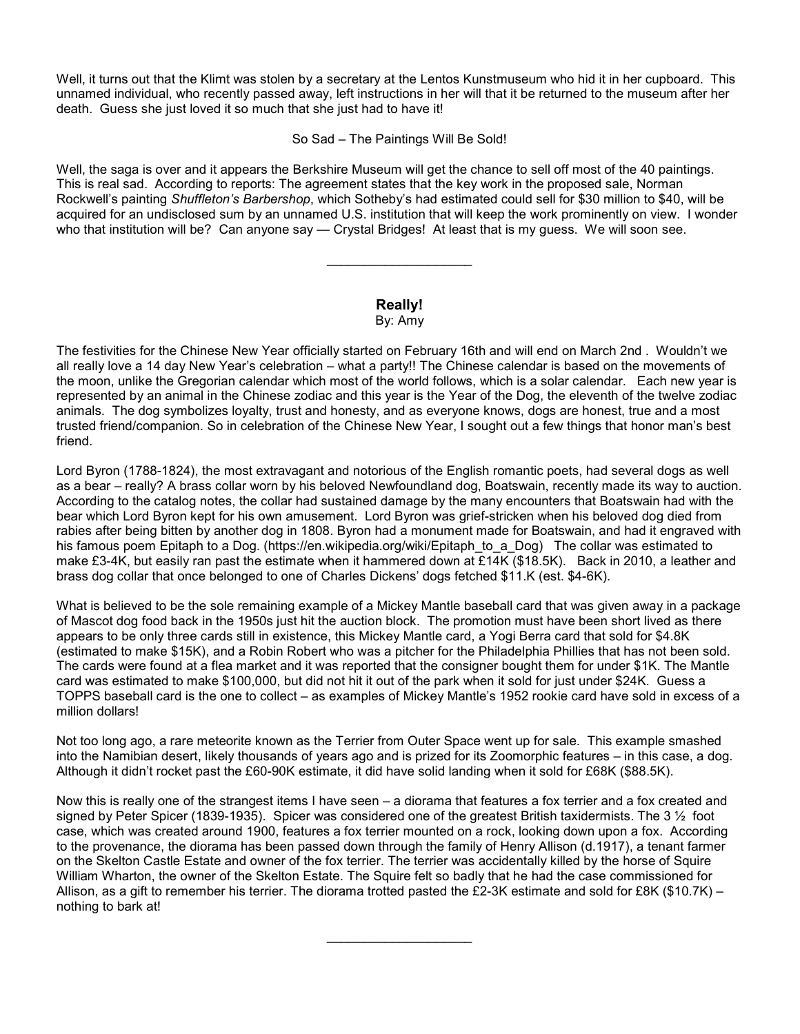Well, it turns out that the Klimt was stolen by a secretary at the Lentos Kunstmuseum who hid it in her cupboard. This unnamed individual, who recently passed away, left instructions in her will that it be returned to the museum after her death. Guess she just loved it so much that she just had to have it!

So Sad – The Paintings Will Be Sold!

Well, the saga is over and it appears the Berkshire Museum will get the chance to sell off most of the 40 paintings. This is real sad. According to reports: The agreement states that the key work in the proposed sale, Norman Rockwell's painting Shuffleton's Barbershop, which Sotheby's had estimated could sell for \$30 million to \$40, will be acquired for an undisclosed sum by an unnamed U.S. institution that will keep the work prominently on view. I wonder who that institution will be? Can anyone say — Crystal Bridges! At least that is my guess. We will soon see.

# Really! By: Amy

 $\mathcal{L}_\text{max}$  , we are the set of the set of the set of the set of the set of the set of the set of the set of the set of the set of the set of the set of the set of the set of the set of the set of the set of the set of

The festivities for the Chinese New Year officially started on February 16th and will end on March 2nd . Wouldn't we all really love a 14 day New Year's celebration – what a party!! The Chinese calendar is based on the movements of the moon, unlike the Gregorian calendar which most of the world follows, which is a solar calendar. Each new year is represented by an animal in the Chinese zodiac and this year is the Year of the Dog, the eleventh of the twelve zodiac animals. The dog symbolizes loyalty, trust and honesty, and as everyone knows, dogs are honest, true and a most trusted friend/companion. So in celebration of the Chinese New Year, I sought out a few things that honor man's best friend.

Lord Byron (1788-1824), the most extravagant and notorious of the English romantic poets, had several dogs as well as a bear – really? A brass collar worn by his beloved Newfoundland dog, Boatswain, recently made its way to auction. According to the catalog notes, the collar had sustained damage by the many encounters that Boatswain had with the bear which Lord Byron kept for his own amusement. Lord Byron was grief-stricken when his beloved dog died from rabies after being bitten by another dog in 1808. Byron had a monument made for Boatswain, and had it engraved with his famous poem Epitaph to a Dog. (https://en.wikipedia.org/wiki/Epitaph\_to\_a\_Dog) The collar was estimated to make £3-4K, but easily ran past the estimate when it hammered down at £14K (\$18.5K). Back in 2010, a leather and brass dog collar that once belonged to one of Charles Dickens' dogs fetched \$11.K (est. \$4-6K).

What is believed to be the sole remaining example of a Mickey Mantle baseball card that was given away in a package of Mascot dog food back in the 1950s just hit the auction block. The promotion must have been short lived as there appears to be only three cards still in existence, this Mickey Mantle card, a Yogi Berra card that sold for \$4.8K (estimated to make \$15K), and a Robin Robert who was a pitcher for the Philadelphia Phillies that has not been sold. The cards were found at a flea market and it was reported that the consigner bought them for under \$1K. The Mantle card was estimated to make \$100,000, but did not hit it out of the park when it sold for just under \$24K. Guess a TOPPS baseball card is the one to collect – as examples of Mickey Mantle's 1952 rookie card have sold in excess of a million dollars!

Not too long ago, a rare meteorite known as the Terrier from Outer Space went up for sale. This example smashed into the Namibian desert, likely thousands of years ago and is prized for its Zoomorphic features – in this case, a dog. Although it didn't rocket past the £60-90K estimate, it did have solid landing when it sold for £68K (\$88.5K).

Now this is really one of the strangest items I have seen – a diorama that features a fox terrier and a fox created and signed by Peter Spicer (1839-1935). Spicer was considered one of the greatest British taxidermists. The 3  $\frac{1}{2}$  foot case, which was created around 1900, features a fox terrier mounted on a rock, looking down upon a fox. According to the provenance, the diorama has been passed down through the family of Henry Allison (d.1917), a tenant farmer on the Skelton Castle Estate and owner of the fox terrier. The terrier was accidentally killed by the horse of Squire William Wharton, the owner of the Skelton Estate. The Squire felt so badly that he had the case commissioned for Allison, as a gift to remember his terrier. The diorama trotted pasted the £2-3K estimate and sold for £8K (\$10.7K) – nothing to bark at!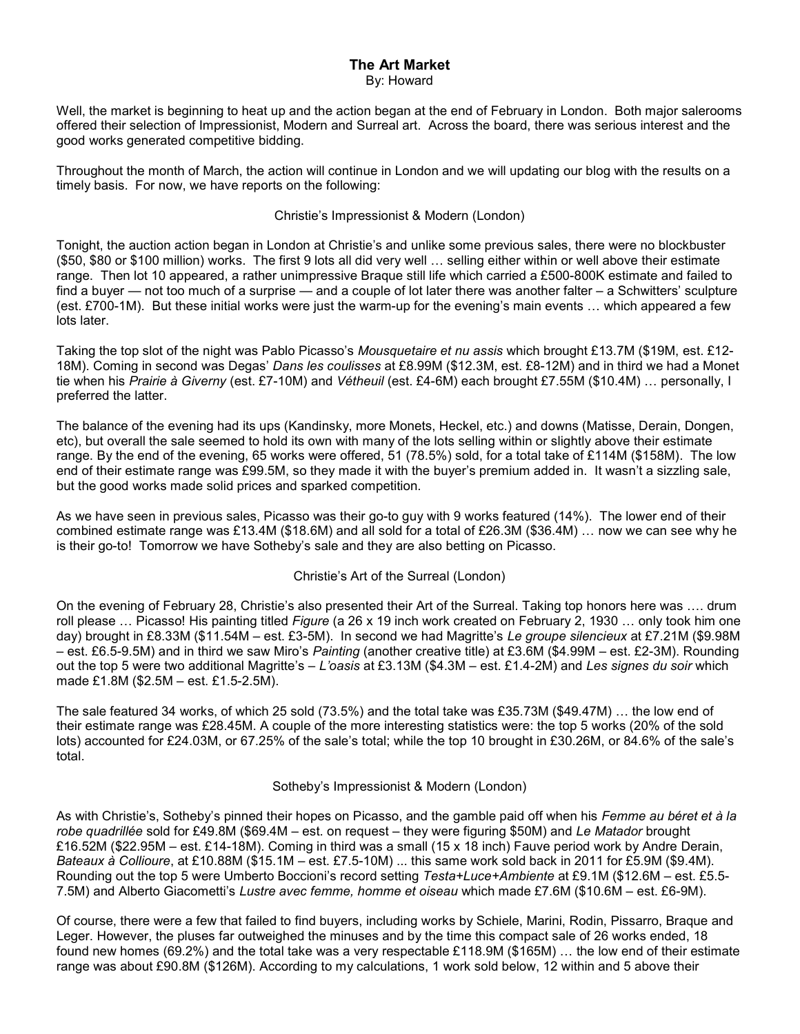# The Art Market By: Howard

Well, the market is beginning to heat up and the action began at the end of February in London. Both major salerooms offered their selection of Impressionist, Modern and Surreal art. Across the board, there was serious interest and the good works generated competitive bidding.

Throughout the month of March, the action will continue in London and we will updating our blog with the results on a timely basis. For now, we have reports on the following:

# Christie's Impressionist & Modern (London)

Tonight, the auction action began in London at Christie's and unlike some previous sales, there were no blockbuster (\$50, \$80 or \$100 million) works. The first 9 lots all did very well … selling either within or well above their estimate range. Then lot 10 appeared, a rather unimpressive Braque still life which carried a £500-800K estimate and failed to find a buyer — not too much of a surprise — and a couple of lot later there was another falter – a Schwitters' sculpture (est. £700-1M). But these initial works were just the warm-up for the evening's main events … which appeared a few lots later.

Taking the top slot of the night was Pablo Picasso's Mousquetaire et nu assis which brought £13.7M (\$19M, est. £12-18M). Coming in second was Degas' Dans les coulisses at £8.99M (\$12.3M, est. £8-12M) and in third we had a Monet tie when his Prairie à Giverny (est. £7-10M) and Vétheuil (est. £4-6M) each brought £7.55M (\$10.4M) ... personally, I preferred the latter.

The balance of the evening had its ups (Kandinsky, more Monets, Heckel, etc.) and downs (Matisse, Derain, Dongen, etc), but overall the sale seemed to hold its own with many of the lots selling within or slightly above their estimate range. By the end of the evening, 65 works were offered, 51 (78.5%) sold, for a total take of £114M (\$158M). The low end of their estimate range was £99.5M, so they made it with the buyer's premium added in. It wasn't a sizzling sale, but the good works made solid prices and sparked competition.

As we have seen in previous sales, Picasso was their go-to guy with 9 works featured (14%). The lower end of their combined estimate range was £13.4M (\$18.6M) and all sold for a total of £26.3M (\$36.4M) … now we can see why he is their go-to! Tomorrow we have Sotheby's sale and they are also betting on Picasso.

# Christie's Art of the Surreal (London)

On the evening of February 28, Christie's also presented their Art of the Surreal. Taking top honors here was …. drum roll please ... Picasso! His painting titled Figure (a 26 x 19 inch work created on February 2, 1930 ... only took him one day) brought in £8.33M (\$11.54M – est. £3-5M). In second we had Magritte's Le groupe silencieux at £7.21M (\$9.98M – est. £6.5-9.5M) and in third we saw Miro's Painting (another creative title) at £3.6M (\$4.99M – est. £2-3M). Rounding out the top 5 were two additional Magritte's – L'oasis at £3.13M (\$4.3M – est. £1.4-2M) and Les signes du soir which made £1.8M (\$2.5M – est. £1.5-2.5M).

The sale featured 34 works, of which 25 sold (73.5%) and the total take was £35.73M (\$49.47M) … the low end of their estimate range was £28.45M. A couple of the more interesting statistics were: the top 5 works (20% of the sold lots) accounted for £24.03M, or 67.25% of the sale's total; while the top 10 brought in £30.26M, or 84.6% of the sale's total.

# Sotheby's Impressionist & Modern (London)

As with Christie's, Sotheby's pinned their hopes on Picasso, and the gamble paid off when his Femme au béret et à la robe quadrillée sold for £49.8M (\$69.4M – est. on request – they were figuring \$50M) and Le Matador brought £16.52M (\$22.95M – est. £14-18M). Coming in third was a small (15 x 18 inch) Fauve period work by Andre Derain, Bateaux à Collioure, at £10.88M (\$15.1M – est. £7.5-10M) ... this same work sold back in 2011 for £5.9M (\$9.4M). Rounding out the top 5 were Umberto Boccioni's record setting Testa+Luce+Ambiente at £9.1M (\$12.6M – est. £5.5- 7.5M) and Alberto Giacometti's Lustre avec femme, homme et oiseau which made £7.6M (\$10.6M – est. £6-9M).

Of course, there were a few that failed to find buyers, including works by Schiele, Marini, Rodin, Pissarro, Braque and Leger. However, the pluses far outweighed the minuses and by the time this compact sale of 26 works ended, 18 found new homes (69.2%) and the total take was a very respectable £118.9M (\$165M) … the low end of their estimate range was about £90.8M (\$126M). According to my calculations, 1 work sold below, 12 within and 5 above their